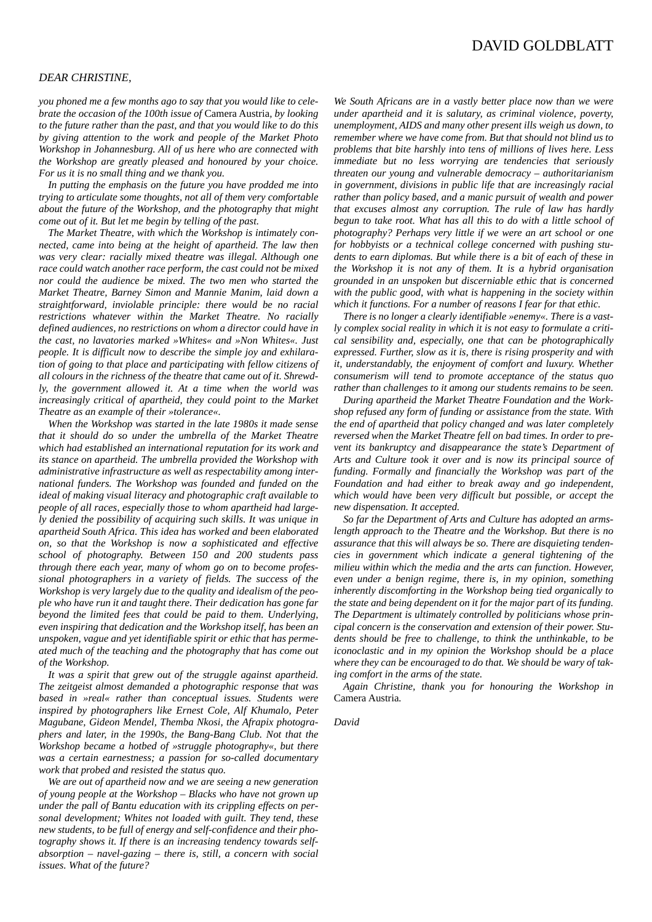## *DEAR CHRISTINE,*

*you phoned me a few months ago to say that you would like to celebrate the occasion of the 100th issue of* Camera Austria*, by looking to the future rather than the past, and that you would like to do this by giving attention to the work and people of the Market Photo Workshop in Johannesburg. All of us here who are connected with the Workshop are greatly pleased and honoured by your choice. For us it is no small thing and we thank you.* 

*In putting the emphasis on the future you have prodded me into trying to articulate some thoughts, not all of them very comfortable about the future of the Workshop, and the photography that might come out of it. But let me begin by telling of the past.*

*The Market Theatre, with which the Workshop is intimately connected, came into being at the height of apartheid. The law then was very clear: racially mixed theatre was illegal. Although one race could watch another race perform, the cast could not be mixed nor could the audience be mixed. The two men who started the Market Theatre, Barney Simon and Mannie Manim, laid down a straightforward, inviolable principle: there would be no racial restrictions whatever within the Market Theatre. No racially defined audiences, no restrictions on whom a director could have in the cast, no lavatories marked »Whites« and »Non Whites«. Just people. It is difficult now to describe the simple joy and exhilaration of going to that place and participating with fellow citizens of all colours in the richness of the theatre that came out of it. Shrewdly, the government allowed it. At a time when the world was increasingly critical of apartheid, they could point to the Market Theatre as an example of their »tolerance«.*

*When the Workshop was started in the late 1980s it made sense that it should do so under the umbrella of the Market Theatre which had established an international reputation for its work and its stance on apartheid. The umbrella provided the Workshop with administrative infrastructure as well as respectability among international funders. The Workshop was founded and funded on the ideal of making visual literacy and photographic craft available to people of all races, especially those to whom apartheid had largely denied the possibility of acquiring such skills. It was unique in apartheid South Africa. This idea has worked and been elaborated on, so that the Workshop is now a sophisticated and effective school of photography. Between 150 and 200 students pass through there each year, many of whom go on to become professional photographers in a variety of fields. The success of the Workshop is very largely due to the quality and idealism of the people who have run it and taught there. Their dedication has gone far beyond the limited fees that could be paid to them. Underlying, even inspiring that dedication and the Workshop itself, has been an unspoken, vague and yet identifiable spirit or ethic that has permeated much of the teaching and the photography that has come out of the Workshop.*

*It was a spirit that grew out of the struggle against apartheid. The zeitgeist almost demanded a photographic response that was based in »real« rather than conceptual issues. Students were inspired by photographers like Ernest Cole, Alf Khumalo, Peter Magubane, Gideon Mendel, Themba Nkosi, the Afrapix photographers and later, in the 1990s, the Bang-Bang Club. Not that the Workshop became a hotbed of »struggle photography«, but there was a certain earnestness; a passion for so-called documentary work that probed and resisted the status quo.*

*We are out of apartheid now and we are seeing a new generation of young people at the Workshop – Blacks who have not grown up under the pall of Bantu education with its crippling effects on personal development; Whites not loaded with guilt. They tend, these new students, to be full of energy and self-confidence and their photography shows it. If there is an increasing tendency towards selfabsorption – navel-gazing – there is, still, a concern with social issues. What of the future?*

*We South Africans are in a vastly better place now than we were under apartheid and it is salutary, as criminal violence, poverty, unemployment, AIDS and many other present ills weigh us down, to remember where we have come from. But that should not blind us to problems that bite harshly into tens of millions of lives here. Less immediate but no less worrying are tendencies that seriously threaten our young and vulnerable democracy – authoritarianism in government, divisions in public life that are increasingly racial rather than policy based, and a manic pursuit of wealth and power that excuses almost any corruption. The rule of law has hardly begun to take root. What has all this to do with a little school of photography? Perhaps very little if we were an art school or one for hobbyists or a technical college concerned with pushing students to earn diplomas. But while there is a bit of each of these in the Workshop it is not any of them. It is a hybrid organisation grounded in an unspoken but discerniable ethic that is concerned with the public good, with what is happening in the society within which it functions. For a number of reasons I fear for that ethic.*

*There is no longer a clearly identifiable »enemy«. There is a vastly complex social reality in which it is not easy to formulate a critical sensibility and, especially, one that can be photographically expressed. Further, slow as it is, there is rising prosperity and with it, understandably, the enjoyment of comfort and luxury. Whether consumerism will tend to promote acceptance of the status quo rather than challenges to it among our students remains to be seen.* 

*During apartheid the Market Theatre Foundation and the Workshop refused any form of funding or assistance from the state. With the end of apartheid that policy changed and was later completely reversed when the Market Theatre fell on bad times. In order to prevent its bankruptcy and disappearance the state's Department of Arts and Culture took it over and is now its principal source of funding. Formally and financially the Workshop was part of the Foundation and had either to break away and go independent, which would have been very difficult but possible, or accept the new dispensation. It accepted.* 

*So far the Department of Arts and Culture has adopted an armslength approach to the Theatre and the Workshop. But there is no assurance that this will always be so. There are disquieting tendencies in government which indicate a general tightening of the milieu within which the media and the arts can function. However, even under a benign regime, there is, in my opinion, something inherently discomforting in the Workshop being tied organically to the state and being dependent on it for the major part of its funding. The Department is ultimately controlled by politicians whose principal concern is the conservation and extension of their power. Students should be free to challenge, to think the unthinkable, to be iconoclastic and in my opinion the Workshop should be a place where they can be encouraged to do that. We should be wary of taking comfort in the arms of the state.*

*Again Christine, thank you for honouring the Workshop in* Camera Austria*.* 

*David*